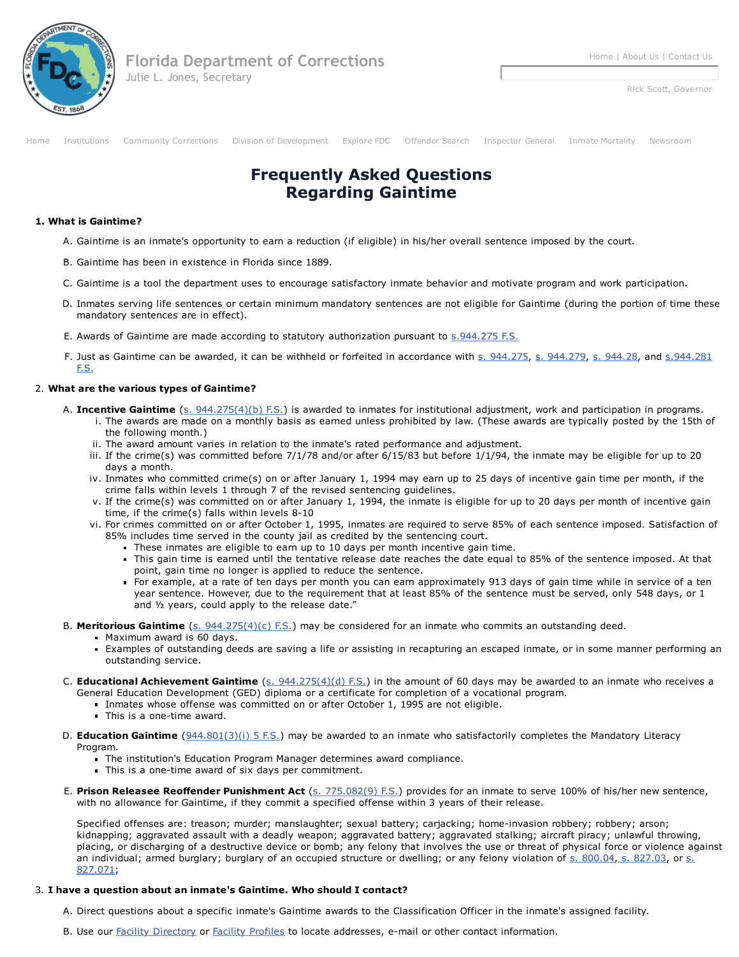

Rick Scott, Governor

[Home](http://www.dc.state.fl.us/index.html) [Institutions](http://www.dc.state.fl.us/prison-menu.html) [Community](http://www.dc.state.fl.us/cc-menu.html) Corrections Division of [Development](http://www.dc.state.fl.us/development-menu.html) [Explore](http://www.dc.state.fl.us/explore-menu.html) FDC [Offender](http://www.dc.state.fl.us/OffenderSearch/InmateInfoMenu.aspx) Search [Inspector](http://www.dc.state.fl.us/orginfo/ig.html) General Inmate [Mortality](http://www.dc.state.fl.us/pub/mortality/index.html) [Newsroom](http://www.dc.state.fl.us/orginfo/pubaff.html)

## Frequently Asked Questions Regarding Gaintime

## 1. What is Gaintime?

- A. Gaintime is an inmate's opportunity to earn a reduction (if eligible) in his/her overall sentence imposed by the court.
- B. Gaintime has been in existence in Florida since 1889.
- C. Gaintime is a tool the department uses to encourage satisfactory inmate behavior and motivate program and work participation.
- D. Inmates serving life sentences or certain minimum mandatory sentences are not eligible for Gaintime (during the portion of time these mandatory sentences are in effect).
- E. Awards of Gaintime are made according to statutory authorization pursuant to  $\frac{1}{2}$ , 944.275 F.S.
- F. Just as Gaintime can be awarded, it can be withheld or forfeited in [accordance](http://www.leg.state.fl.us/statutes/index.cfm?App_mode=Display_Statute&Search_String=&URL=0900-0999/0944/Sections/0944.281.html) with s. [944.275,](http://www.leg.state.fl.us/statutes/index.cfm?App_mode=Display_Statute&Search_String=&URL=0900-0999/0944/Sections/0944.275.html) s. [944.279,](http://www.leg.state.fl.us/statutes/index.cfm?App_mode=Display_Statute&Search_String=&URL=0900-0999/0944/Sections/0944.279.html) s. [944.28](http://www.leg.state.fl.us/statutes/index.cfm?App_mode=Display_Statute&Search_String=&URL=0900-0999/0944/Sections/0944.28.html), and s. 944.281 F.S.

## 2. What are the various types of Gaintime?

- A. Incentive Gaintime (s. [944.275\(4\)\(b\)](http://www.leg.state.fl.us/statutes/index.cfm?App_mode=Display_Statute&Search_String=&URL=0900-0999/0944/Sections/0944.275.html) F.S.) is awarded to inmates for institutional adjustment, work and participation in programs.
	- i. The awards are made on a monthly basis as earned unless prohibited by law. (These awards are typically posted by the 15th of the following month.)
	- ii. The award amount varies in relation to the inmate's rated performance and adjustment.
	- iii. If the crime(s) was committed before 7/1/78 and/or after 6/15/83 but before 1/1/94, the inmate may be eligible for up to 20 days a month.
	- iv. Inmates who committed crime(s) on or after January 1, 1994 may earn up to 25 days of incentive gain time per month, if the crime falls within levels 1 through 7 of the revised sentencing guidelines.
	- v. If the crime(s) was committed on or after January 1, 1994, the inmate is eligible for up to 20 days per month of incentive gain time, if the crime(s) falls within levels  $8-10$
	- vi. For crimes committed on or after October 1, 1995, inmates are required to serve 85% of each sentence imposed. Satisfaction of 85% includes time served in the county jail as credited by the sentencing court.
		- These inmates are eligible to earn up to 10 days per month incentive gain time.
		- This gain time is earned until the tentative release date reaches the date equal to 85% of the sentence imposed. At that point, gain time no longer is applied to reduce the sentence.
		- For example, at a rate of ten days per month you can earn approximately 913 days of gain time while in service of a ten year sentence. However, due to the requirement that at least 85% of the sentence must be served, only 548 days, or 1 and ½ years, could apply to the release date."
- B. Meritorious Gaintime  $(s. 944.275(4)(c)$  $(s. 944.275(4)(c)$  F.S.) may be considered for an inmate who commits an outstanding deed.
	- **Maximum award is 60 days.**
	- Examples of outstanding deeds are saving a life or assisting in recapturing an escaped inmate, or in some manner performing an outstanding service.
- C. Educational Achievement Gaintime (s. [944.275\(4\)\(d\)](http://www.leg.state.fl.us/statutes/index.cfm?App_mode=Display_Statute&Search_String=&URL=0900-0999/0944/Sections/0944.275.html) F.S.) in the amount of 60 days may be awarded to an inmate who receives a General Education Development (GED) diploma or a certificate for completion of a vocational program.
	- Inmates whose offense was committed on or after October 1, 1995 are not eligible.
	- $\blacksquare$  This is a one-time award.
- D. Education Gaintime  $(944.801(3)(i)$  $(944.801(3)(i)$  5 F.S.) may be awarded to an inmate who satisfactorily completes the Mandatory Literacy Program.
	- The institution's Education Program Manager determines award compliance.
	- This is a one-time award of six days per commitment.
- E. Prison Releasee Reoffender Punishment Act (s. [775.082\(9\)](http://www.leg.state.fl.us/statutes/index.cfm?App_mode=Display_Statute&Search_String=&URL=0700-0799/0775/Sections/0775.082.html) F.S.) provides for an inmate to serve 100% of his/her new sentence, with no allowance for Gaintime, if they commit a specified offense within 3 years of their release.

Specified offenses are: treason; murder; manslaughter; sexual battery; carjacking; home-invasion robbery; robbery; arson; kidnapping; aggravated assault with a deadly weapon; aggravated battery; aggravated stalking; aircraft piracy; unlawful throwing, placing, or discharging of a destructive device or bomb; any felony that involves the use or threat of physical force or violence against an [individual;](http://www.leg.state.fl.us/statutes/index.cfm?App_mode=Display_Statute&Search_String=&URL=0800-0899/0827/Sections/0827.071.html) armed burglary; burglary of an occupied structure or dwelling; or any felony violation of s. [800.04](http://www.leg.state.fl.us/statutes/index.cfm?App_mode=Display_Statute&Search_String=&URL=0800-0899/0800/Sections/0800.04.html), s. [827.03,](http://www.leg.state.fl.us/statutes/index.cfm?App_mode=Display_Statute&Search_String=&URL=0800-0899/0827/Sections/0827.03.html) or s. 827.071;

## 3. I have a question about an inmate's Gaintime. Who should I contact?

A. Direct questions about a specific inmate's Gaintime awards to the Classification Officer in the inmate's assigned facility.

B. Use our Facility [Directory](http://www.dc.state.fl.us/orginfo/facilitydir.html) or Facility [Profiles](http://www.dc.state.fl.us/Facilities/CIindex.html) to locate addresses, e-mail or other contact information.